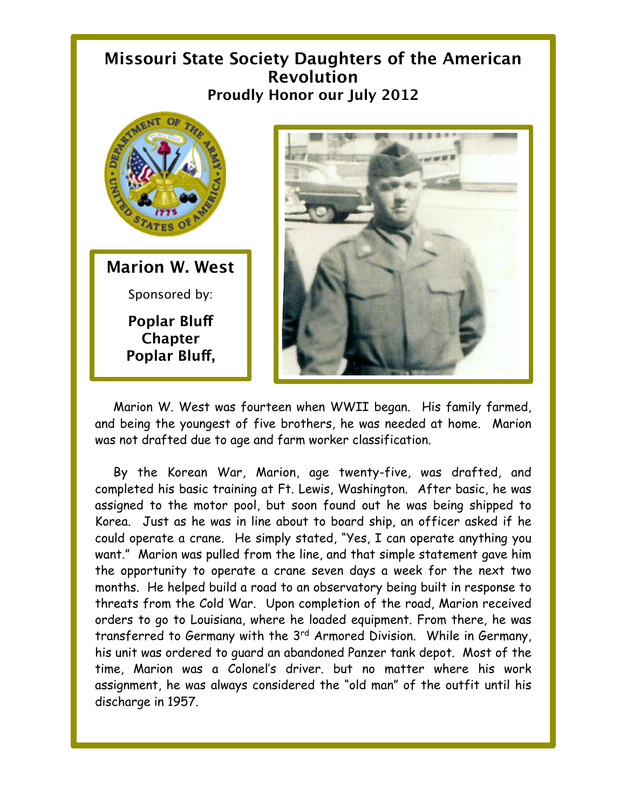## **Missouri State Society Daughters of the American Revolution Proudly Honor our July 2012**



Marion W. West was fourteen when WWII began. His family farmed, and being the youngest of five brothers, he was needed at home. Marion was not drafted due to age and farm worker classification.

By the Korean War, Marion, age twenty-five, was drafted, and completed his basic training at Ft. Lewis, Washington. After basic, he was assigned to the motor pool, but soon found out he was being shipped to Korea. Just as he was in line about to board ship, an officer asked if he could operate a crane. He simply stated, "Yes, I can operate anything you want." Marion was pulled from the line, and that simple statement gave him the opportunity to operate a crane seven days a week for the next two months. He helped build a road to an observatory being built in response to threats from the Cold War. Upon completion of the road, Marion received orders to go to Louisiana, where he loaded equipment. From there, he was transferred to Germany with the 3rd Armored Division. While in Germany, his unit was ordered to guard an abandoned Panzer tank depot. Most of the time, Marion was a Colonel's driver. but no matter where his work assignment, he was always considered the "old man" of the outfit until his discharge in 1957.